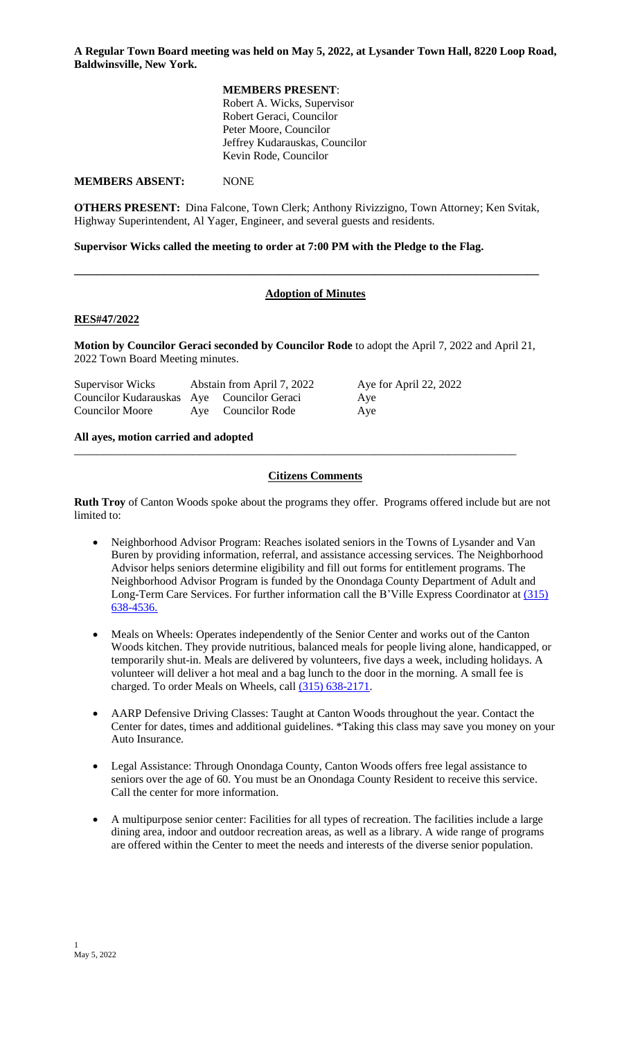**A Regular Town Board meeting was held on May 5, 2022, at Lysander Town Hall, 8220 Loop Road, Baldwinsville, New York.**

## **MEMBERS PRESENT**:

Robert A. Wicks, Supervisor Robert Geraci, Councilor Peter Moore, Councilor Jeffrey Kudarauskas, Councilor Kevin Rode, Councilor

**MEMBERS ABSENT: NONE** 

**OTHERS PRESENT:** Dina Falcone, Town Clerk; Anthony Rivizzigno, Town Attorney; Ken Svitak, Highway Superintendent, Al Yager, Engineer, and several guests and residents.

**\_\_\_\_\_\_\_\_\_\_\_\_\_\_\_\_\_\_\_\_\_\_\_\_\_\_\_\_\_\_\_\_\_\_\_\_\_\_\_\_\_\_\_\_\_\_\_\_\_\_\_\_\_\_\_\_\_\_\_\_\_\_\_\_\_\_\_\_\_\_\_\_\_\_\_\_\_\_\_\_\_\_** 

## **Supervisor Wicks called the meeting to order at 7:00 PM with the Pledge to the Flag.**

# **Adoption of Minutes**

### **RES#47/2022**

**Motion by Councilor Geraci seconded by Councilor Rode** to adopt the April 7, 2022 and April 21, 2022 Town Board Meeting minutes.

| Supervisor Wicks                           | Abstain from April 7, 2022 | Aye for April 22, 2022 |
|--------------------------------------------|----------------------------|------------------------|
| Councilor Kudarauskas Aye Councilor Geraci |                            | Aye                    |
| Councilor Moore                            | Aye Councilor Rode         | Aye                    |

## **All ayes, motion carried and adopted**

# **Citizens Comments**

\_\_\_\_\_\_\_\_\_\_\_\_\_\_\_\_\_\_\_\_\_\_\_\_\_\_\_\_\_\_\_\_\_\_\_\_\_\_\_\_\_\_\_\_\_\_\_\_\_\_\_\_\_\_\_\_\_\_\_\_\_\_\_\_\_\_\_\_\_\_\_\_\_\_\_\_\_\_

**Ruth Troy** of Canton Woods spoke about the programs they offer. Programs offered include but are not limited to:

- Neighborhood Advisor Program: Reaches isolated seniors in the Towns of Lysander and Van Buren by providing information, referral, and assistance accessing services. The Neighborhood Advisor helps seniors determine eligibility and fill out forms for entitlement programs. The Neighborhood Advisor Program is funded by the Onondaga County Department of Adult and Long-Term Care Services. For further information call the B'Ville Express Coordinator at [\(315\)](tel:(315)%20638-4536) [638-4536.](tel:(315)%20638-4536)
- Meals on Wheels: Operates independently of the Senior Center and works out of the Canton Woods kitchen. They provide nutritious, balanced meals for people living alone, handicapped, or temporarily shut-in. Meals are delivered by volunteers, five days a week, including holidays. A volunteer will deliver a hot meal and a bag lunch to the door in the morning. A small fee is charged. To order Meals on Wheels, call (315) [638-2171.](tel:(315)%20638-2171)
- AARP Defensive Driving Classes: Taught at Canton Woods throughout the year. Contact the Center for dates, times and additional guidelines. \*Taking this class may save you money on your Auto Insurance.
- Legal Assistance: Through Onondaga County, Canton Woods offers free legal assistance to seniors over the age of 60. You must be an Onondaga County Resident to receive this service. Call the center for more information.
- A multipurpose senior center: Facilities for all types of recreation. The facilities include a large dining area, indoor and outdoor recreation areas, as well as a library. A wide range of programs are offered within the Center to meet the needs and interests of the diverse senior population.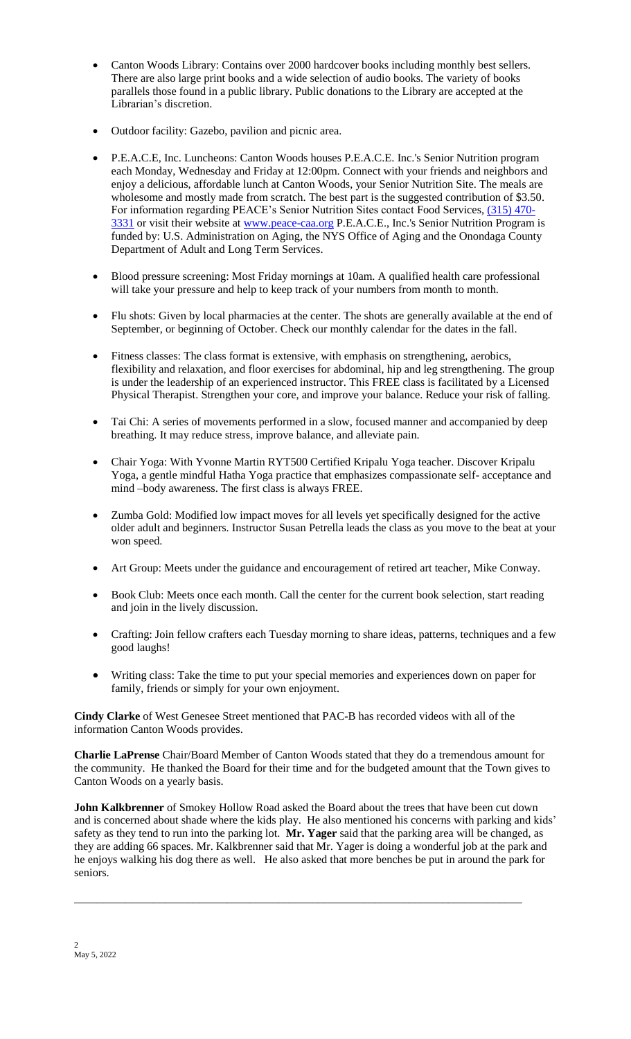- Canton Woods Library: Contains over 2000 hardcover books including monthly best sellers. There are also large print books and a wide selection of audio books. The variety of books parallels those found in a public library. Public donations to the Library are accepted at the Librarian's discretion.
- Outdoor facility: Gazebo, pavilion and picnic area.
- P.E.A.C.E, Inc. Luncheons: Canton Woods houses P.E.A.C.E. Inc.'s Senior Nutrition program each Monday, Wednesday and Friday at 12:00pm. Connect with your friends and neighbors and enjoy a delicious, affordable lunch at Canton Woods, your Senior Nutrition Site. The meals are wholesome and mostly made from scratch. The best part is the suggested contribution of \$3.50. For information regarding PEACE's Senior Nutrition Sites contact Food Services, [\(315\)](tel:(315)%20470-3331) 470-[3331](tel:(315)%20470-3331) or visit their website at [www.peace-caa.org](https://www.peace-caa.org/) P.E.A.C.E., Inc.'s Senior Nutrition Program is funded by: U.S. Administration on Aging, the NYS Office of Aging and the Onondaga County Department of Adult and Long Term Services.
- Blood pressure screening: Most Friday mornings at 10am. A qualified health care professional will take your pressure and help to keep track of your numbers from month to month.
- Flu shots: Given by local pharmacies at the center. The shots are generally available at the end of September, or beginning of October. Check our monthly calendar for the dates in the fall.
- Fitness classes: The class format is extensive, with emphasis on strengthening, aerobics, flexibility and relaxation, and floor exercises for abdominal, hip and leg strengthening. The group is under the leadership of an experienced instructor. This FREE class is facilitated by a Licensed Physical Therapist. Strengthen your core, and improve your balance. Reduce your risk of falling.
- Tai Chi: A series of movements performed in a slow, focused manner and accompanied by deep breathing. It may reduce stress, improve balance, and alleviate pain.
- Chair Yoga: With Yvonne Martin RYT500 Certified Kripalu Yoga teacher. Discover Kripalu Yoga, a gentle mindful Hatha Yoga practice that emphasizes compassionate self- acceptance and mind –body awareness. The first class is always FREE.
- Zumba Gold: Modified low impact moves for all levels yet specifically designed for the active older adult and beginners. Instructor Susan Petrella leads the class as you move to the beat at your won speed.
- Art Group: Meets under the guidance and encouragement of retired art teacher, Mike Conway.
- Book Club: Meets once each month. Call the center for the current book selection, start reading and join in the lively discussion.
- Crafting: Join fellow crafters each Tuesday morning to share ideas, patterns, techniques and a few good laughs!
- Writing class: Take the time to put your special memories and experiences down on paper for family, friends or simply for your own enjoyment.

**Cindy Clarke** of West Genesee Street mentioned that PAC-B has recorded videos with all of the information Canton Woods provides.

**Charlie LaPrense** Chair/Board Member of Canton Woods stated that they do a tremendous amount for the community. He thanked the Board for their time and for the budgeted amount that the Town gives to Canton Woods on a yearly basis.

**John Kalkbrenner** of Smokey Hollow Road asked the Board about the trees that have been cut down and is concerned about shade where the kids play. He also mentioned his concerns with parking and kids' safety as they tend to run into the parking lot. **Mr. Yager** said that the parking area will be changed, as they are adding 66 spaces. Mr. Kalkbrenner said that Mr. Yager is doing a wonderful job at the park and he enjoys walking his dog there as well. He also asked that more benches be put in around the park for seniors.

\_\_\_\_\_\_\_\_\_\_\_\_\_\_\_\_\_\_\_\_\_\_\_\_\_\_\_\_\_\_\_\_\_\_\_\_\_\_\_\_\_\_\_\_\_\_\_\_\_\_\_\_\_\_\_\_\_\_\_\_\_\_\_\_\_\_\_\_\_\_\_\_\_\_\_\_\_\_\_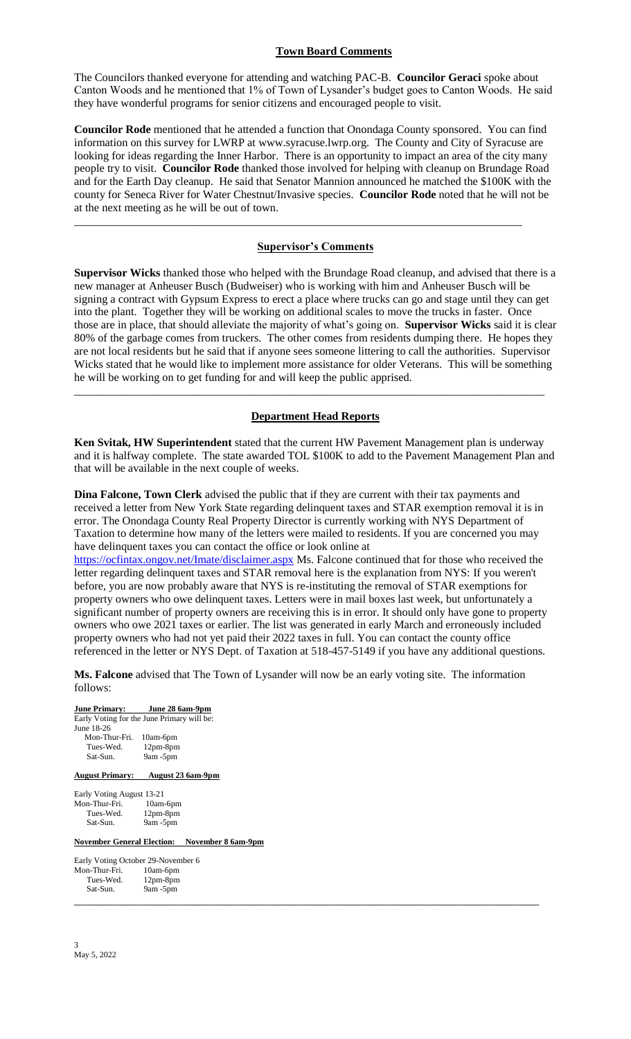## **Town Board Comments**

The Councilors thanked everyone for attending and watching PAC-B. **Councilor Geraci** spoke about Canton Woods and he mentioned that 1% of Town of Lysander's budget goes to Canton Woods. He said they have wonderful programs for senior citizens and encouraged people to visit.

**Councilor Rode** mentioned that he attended a function that Onondaga County sponsored. You can find information on this survey for LWRP at www.syracuse.lwrp.org. The County and City of Syracuse are looking for ideas regarding the Inner Harbor. There is an opportunity to impact an area of the city many people try to visit. **Councilor Rode** thanked those involved for helping with cleanup on Brundage Road and for the Earth Day cleanup. He said that Senator Mannion announced he matched the \$100K with the county for Seneca River for Water Chestnut/Invasive species. **Councilor Rode** noted that he will not be at the next meeting as he will be out of town.

# **Supervisor's Comments**

\_\_\_\_\_\_\_\_\_\_\_\_\_\_\_\_\_\_\_\_\_\_\_\_\_\_\_\_\_\_\_\_\_\_\_\_\_\_\_\_\_\_\_\_\_\_\_\_\_\_\_\_\_\_\_\_\_\_\_\_\_\_\_\_\_\_\_\_\_\_\_\_\_\_\_\_\_\_\_

**Supervisor Wicks** thanked those who helped with the Brundage Road cleanup, and advised that there is a new manager at Anheuser Busch (Budweiser) who is working with him and Anheuser Busch will be signing a contract with Gypsum Express to erect a place where trucks can go and stage until they can get into the plant. Together they will be working on additional scales to move the trucks in faster. Once those are in place, that should alleviate the majority of what's going on. **Supervisor Wicks** said it is clear 80% of the garbage comes from truckers. The other comes from residents dumping there. He hopes they are not local residents but he said that if anyone sees someone littering to call the authorities. Supervisor Wicks stated that he would like to implement more assistance for older Veterans. This will be something he will be working on to get funding for and will keep the public apprised.

# **Department Head Reports**

\_\_\_\_\_\_\_\_\_\_\_\_\_\_\_\_\_\_\_\_\_\_\_\_\_\_\_\_\_\_\_\_\_\_\_\_\_\_\_\_\_\_\_\_\_\_\_\_\_\_\_\_\_\_\_\_\_\_\_\_\_\_\_\_\_\_\_\_\_\_\_\_\_\_\_\_\_\_\_\_\_\_\_

**Ken Svitak, HW Superintendent** stated that the current HW Pavement Management plan is underway and it is halfway complete. The state awarded TOL \$100K to add to the Pavement Management Plan and that will be available in the next couple of weeks.

**Dina Falcone, Town Clerk** advised the public that if they are current with their tax payments and received a letter from New York State regarding delinquent taxes and STAR exemption removal it is in error. The Onondaga County Real Property Director is currently working with NYS Department of Taxation to determine how many of the letters were mailed to residents. If you are concerned you may have delinquent taxes you can contact the office or look online at

[https://ocfintax.ongov.net/Imate/disclaimer.aspx](https://ocfintax.ongov.net/Imate/disclaimer.aspx?fbclid=IwAR2ax55IE8wO-wNhqGThWDHSATyPHM97jC35bhdHUfnqELK75DFri2kmZOQ) Ms. Falcone continued that for those who received the letter regarding delinquent taxes and STAR removal here is the explanation from NYS: If you weren't before, you are now probably aware that NYS is re-instituting the removal of STAR exemptions for property owners who owe delinquent taxes. Letters were in mail boxes last week, but unfortunately a significant number of property owners are receiving this is in error. It should only have gone to property owners who owe 2021 taxes or earlier. The list was generated in early March and erroneously included property owners who had not yet paid their 2022 taxes in full. You can contact the county office referenced in the letter or NYS Dept. of Taxation at 518-457-5149 if you have any additional questions.

**Ms. Falcone** advised that The Town of Lysander will now be an early voting site. The information follows:

\_\_\_\_\_\_\_\_\_\_\_\_\_\_\_\_\_\_\_\_\_\_\_\_\_\_\_\_\_\_\_\_\_\_\_\_\_\_\_\_\_\_\_\_\_\_\_\_\_\_\_\_\_\_\_\_\_\_\_\_\_\_\_\_\_\_\_\_\_\_\_\_\_\_\_\_\_\_\_\_\_\_

**June Primary: June 28 6am-9pm** Early Voting for the June Primary will be: June 18-26 Mon-Thur-Fri. 10am-6pm  $12pm-8pm$ Sat-Sun. 9am -5pm **August Primary: August 23 6am-9pm** Early Voting August 13-21<br>Mon-Thur-Fri. 10am-6pm Mon-Thur-Fri. Tues-Wed. 12pm-8pm Sat-Sun. 9am -5pm **November General Election: November 8 6am-9pm** Early Voting October 29-November 6 Mon-Thur-Fri. 10am-6pm Tues-Wed. 12pm-8pm<br>Sat-Sun. 9am -5pm

9am -5pm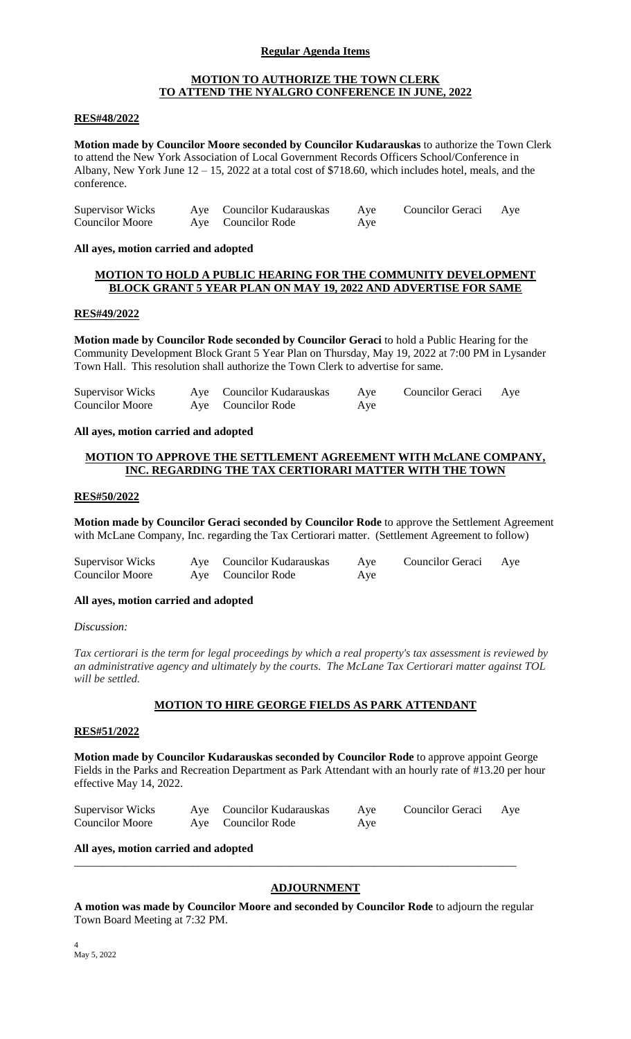# **Regular Agenda Items**

# **MOTION TO AUTHORIZE THE TOWN CLERK TO ATTEND THE NYALGRO CONFERENCE IN JUNE, 2022**

# **RES#48/2022**

**Motion made by Councilor Moore seconded by Councilor Kudarauskas** to authorize the Town Clerk to attend the New York Association of Local Government Records Officers School/Conference in Albany, New York June 12 – 15, 2022 at a total cost of \$718.60, which includes hotel, meals, and the conference.

| Supervisor Wicks       | Aye Councilor Kudarauskas | Aye | <b>Councilor Geraci</b> | Aye |
|------------------------|---------------------------|-----|-------------------------|-----|
| <b>Councilor Moore</b> | Aye Councilor Rode        | Aye |                         |     |

### **All ayes, motion carried and adopted**

# **MOTION TO HOLD A PUBLIC HEARING FOR THE COMMUNITY DEVELOPMENT BLOCK GRANT 5 YEAR PLAN ON MAY 19, 2022 AND ADVERTISE FOR SAME**

### **RES#49/2022**

**Motion made by Councilor Rode seconded by Councilor Geraci** to hold a Public Hearing for the Community Development Block Grant 5 Year Plan on Thursday, May 19, 2022 at 7:00 PM in Lysander Town Hall. This resolution shall authorize the Town Clerk to advertise for same.

| <b>Supervisor Wicks</b> | Aye Councilor Kudarauskas | Aye | <b>Councilor Geraci</b> | Aye |
|-------------------------|---------------------------|-----|-------------------------|-----|
| <b>Councilor Moore</b>  | Aye Councilor Rode        | Aye |                         |     |

### **All ayes, motion carried and adopted**

# **MOTION TO APPROVE THE SETTLEMENT AGREEMENT WITH McLANE COMPANY, INC. REGARDING THE TAX CERTIORARI MATTER WITH THE TOWN**

### **RES#50/2022**

**Motion made by Councilor Geraci seconded by Councilor Rode** to approve the Settlement Agreement with McLane Company, Inc. regarding the Tax Certiorari matter. (Settlement Agreement to follow)

| <b>Supervisor Wicks</b> | Aye Councilor Kudarauskas | Aye | Councilor Geraci | Aye |
|-------------------------|---------------------------|-----|------------------|-----|
| <b>Councilor Moore</b>  | Aye Councilor Rode        | Aye |                  |     |

### **All ayes, motion carried and adopted**

*Discussion:*

*Tax certiorari is the term for legal proceedings by which a real property's tax assessment is reviewed by an administrative agency and ultimately by the courts. The McLane Tax Certiorari matter against TOL will be settled.*

# **MOTION TO HIRE GEORGE FIELDS AS PARK ATTENDANT**

### **RES#51/2022**

**Motion made by Councilor Kudarauskas seconded by Councilor Rode** to approve appoint George Fields in the Parks and Recreation Department as Park Attendant with an hourly rate of #13.20 per hour effective May 14, 2022.

| Supervisor Wicks       | Aye Councilor Kudarauskas | Aye | Councilor Geraci Aye |  |
|------------------------|---------------------------|-----|----------------------|--|
| <b>Councilor Moore</b> | Aye Councilor Rode        | Aye |                      |  |

\_\_\_\_\_\_\_\_\_\_\_\_\_\_\_\_\_\_\_\_\_\_\_\_\_\_\_\_\_\_\_\_\_\_\_\_\_\_\_\_\_\_\_\_\_\_\_\_\_\_\_\_\_\_\_\_\_\_\_\_\_\_\_\_\_\_\_\_\_\_\_\_\_\_\_\_\_\_

### **All ayes, motion carried and adopted**

# **ADJOURNMENT**

**A motion was made by Councilor Moore and seconded by Councilor Rode** to adjourn the regular Town Board Meeting at 7:32 PM.